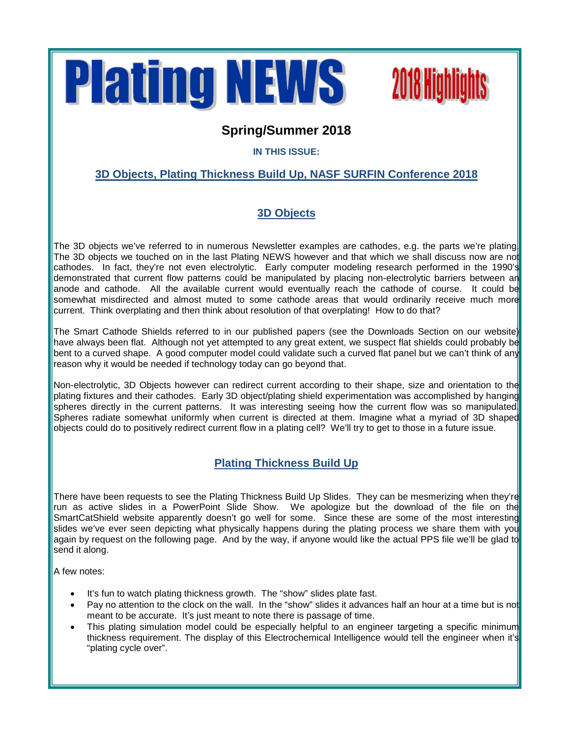



## **Spring/Summer 2018**

### **IN THIS ISSUE:**

## **3D Objects, Plating Thickness Build Up, NASF SURFIN Conference 2018**

## **3D Objects**

The 3D objects we've referred to in numerous Newsletter examples are cathodes, e.g. the parts we're plating. The 3D objects we touched on in the last Plating NEWS however and that which we shall discuss now are not cathodes. In fact, they're not even electrolytic. Early computer modeling research performed in the 1990's demonstrated that current flow patterns could be manipulated by placing non-electrolytic barriers between an anode and cathode. All the available current would eventually reach the cathode of course. It could be somewhat misdirected and almost muted to some cathode areas that would ordinarily receive much more current. Think overplating and then think about resolution of that overplating! How to do that?

The Smart Cathode Shields referred to in our published papers (see the Downloads Section on our website) have always been flat. Although not yet attempted to any great extent, we suspect flat shields could probably be bent to a curved shape. A good computer model could validate such a curved flat panel but we can't think of any reason why it would be needed if technology today can go beyond that.

Non-electrolytic, 3D Objects however can redirect current according to their shape, size and orientation to the plating fixtures and their cathodes. Early 3D object/plating shield experimentation was accomplished by hanging spheres directly in the current patterns. It was interesting seeing how the current flow was so manipulated Spheres radiate somewhat uniformly when current is directed at them. Imagine what a myriad of 3D shaped objects could do to positively redirect current flow in a plating cell? We'll try to get to those in a future issue.

### **Plating Thickness Build Up**

There have been requests to see the Plating Thickness Build Up Slides. They can be mesmerizing when they're run as active slides in a PowerPoint Slide Show. We apologize but the download of the file on the SmartCatShield website apparently doesn't go well for some. Since these are some of the most interesting slides we've ever seen depicting what physically happens during the plating process we share them with you again by request on the following page. And by the way, if anyone would like the actual PPS file we'll be glad to send it along.

A few notes:

- It's fun to watch plating thickness growth. The "show" slides plate fast.
- Pay no attention to the clock on the wall. In the "show" slides it advances half an hour at a time but is not meant to be accurate. It's just meant to note there is passage of time.
- This plating simulation model could be especially helpful to an engineer targeting a specific minimum thickness requirement. The display of this Electrochemical Intelligence would tell the engineer when it's "plating cycle over".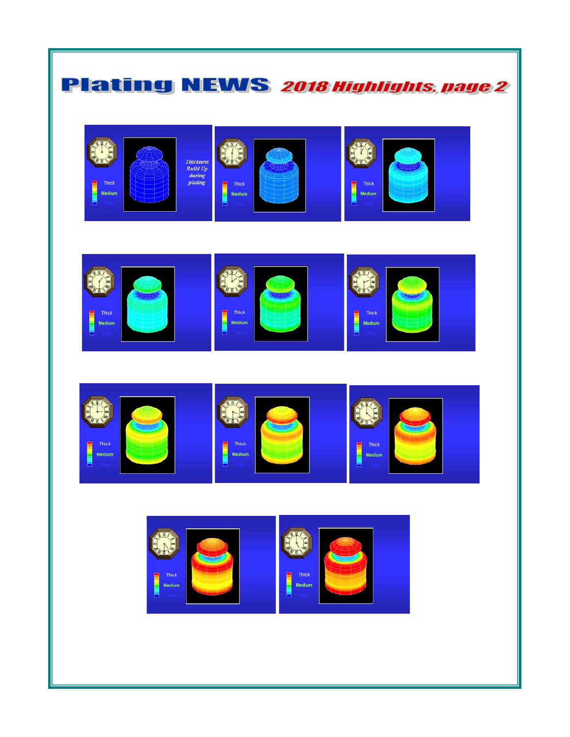